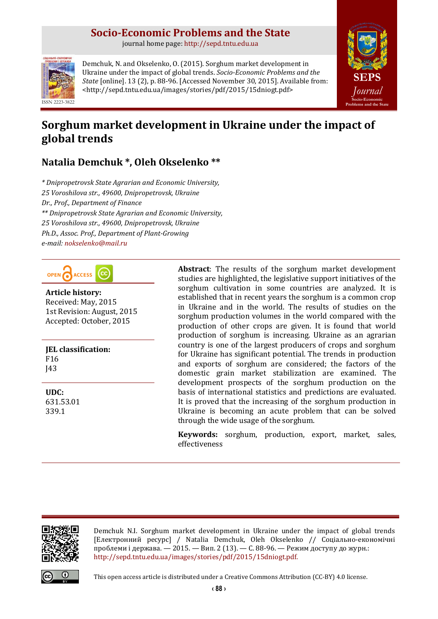# **Socio-Economic Problems and the State**

journal home page: [http://sepd.tntu.edu.ua](http://sepd.tntu.edu.ua/)



Demchuk, N. and Okselenko, O. (2015). Sorghum market development in Ukraine under the impact of global trends. *Socio-Economic Problems and the State* [online]. 13 (2), p. 88-96. [Accessed November 30, 2015]. Available from: <http://sepd.tntu.edu.ua/images/stories/pdf/2015/15dniogt.pdf>



# **Sorghum market development in Ukraine under the impact of global trends**

# **Natalia Demchuk \*, Oleh Okselenko \*\***

*\* Dnipropetrovsk State Agrarian and Economic University, 25 Voroshilova str., 49600, Dnipropetrovsk, Ukraine Dr., Prof., Department of Finance \*\* Dnipropetrovsk State Agrarian and Economic University, 25 Voroshilova str., 49600, Dnipropetrovsk, Ukraine Ph.D., Assoc. Prof., Department of Plant-Growing e-mail: [nokselenko@mail.ru](mailto:nokselenko@mail.ru)*

OPEN ACCESS

**Article history:** Received: May, 2015 1st Revision: August, 2015 Accepted: October, 2015

**JEL classification:** F16 J43

**UDC:** 631.53.01 339.1

**Abstract**: The results of the sorghum market development studies are highlighted, the legislative support initiatives of the sorghum cultivation in some countries are analyzed. It is established that in recent years the sorghum is a common crop in Ukraine and in the world. The results of studies on the sorghum production volumes in the world compared with the production of other crops are given. It is found that world production of sorghum is increasing. Ukraine as an agrarian country is one of the largest producers of crops and sorghum for Ukraine has significant potential. The trends in production and exports of sorghum are considered; the factors of the domestic grain market stabilization are examined. The development prospects of the sorghum production on the basis of international statistics and predictions are evaluated. It is proved that the increasing of the sorghum production in Ukraine is becoming an acute problem that can be solved through the wide usage of the sorghum.

**Keywords:** sorghum, production, export, market, sales, effectiveness



Demchuk N.I. Sorghum market development in Ukraine under the impact of global trends [Електронний ресурс] / Natalia Demchuk, Oleh Okselenko // Соціально-економічні проблеми і держава. — 2015. — Вип. 2 (13). — С. 88-96. — Режим доступу до журн.: [http://sepd.tntu.edu.ua/images/stories/pdf/2015/15dniogt.pdf.](http://sepd.tntu.edu.ua/images/stories/pdf/2015/15dniogt.pdf)



This open access article is distributed under [a Creative Commons Attribution \(CC-BY\) 4.0 license.](http://creativecommons.org/licenses/by/4.0/)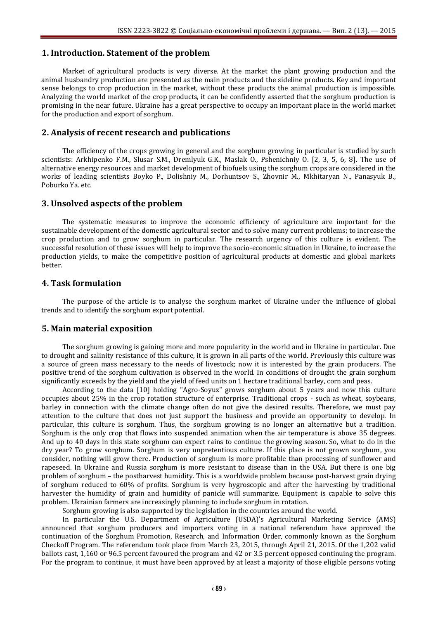### **1. Introduction. Statement of the problem**

Market of agricultural products is very diverse. At the market the plant growing production and the animal husbandry production are presented as the main products and the sideline products. Key and important sense belongs to crop production in the market, without these products the animal production is impossible. Analyzing the world market of the crop products, it can be confidently asserted that the sorghum production is promising in the near future. Ukraine has a great perspective to occupy an important place in the world market for the production and export of sorghum.

### **2. Analysis of recent research and publications**

The efficiency of the crops growing in general and the sorghum growing in particular is studied by such scientists: Arkhipenko F.M., Slusar S.M., Dremlyuk G.K., Maslak O., Pshenichniy O. [2, 3, 5, 6, 8]. The use of alternative energy resources and market development of biofuels using the sorghum crops are considered in the works of leading scientists Boyko P., Dolishniy M., Dorhuntsov S., Zhovnir M., Mkhitaryan N., Panasyuk B., Poburko Ya. etc.

#### **3. Unsolved aspects of the problem**

The systematic measures to improve the economic efficiency of agriculture are important for the sustainable development of the domestic agricultural sector and to solve many current problems; to increase the crop production and to grow sorghum in particular. The research urgency of this culture is evident. The successful resolution of these issues will help to improve the socio-economic situation in Ukraine, to increase the production yields, to make the competitive position of agricultural products at domestic and global markets better.

## **4. Task formulation**

The purpose of the article is to analyse the sorghum market of Ukraine under the influence of global trends and to identify the sorghum export potential.

## **5. Main material exposition**

The sorghum growing is gaining more and more popularity in the world and in Ukraine in particular. Due to drought and salinity resistance of this culture, it is grown in all parts of the world. Previously this culture was a source of green mass necessary to the needs of livestock; now it is interested by the grain producers. The positive trend of the sorghum cultivation is observed in the world. In conditions of drought the grain sorghum significantly exceeds by the yield and the yield of feed units on 1 hectare traditional barley, corn and peas.

According to the data [10] holding "Agro-Soyuz" grows sorghum about 5 years and now this culture occupies about 25% in the crop rotation structure of enterprise. Traditional crops - such as wheat, soybeans, barley in connection with the climate change often do not give the desired results. Therefore, we must pay attention to the culture that does not just support the business and provide an opportunity to develop. In particular, this culture is sorghum. Thus, the sorghum growing is no longer an alternative but a tradition. Sorghum is the only crop that flows into suspended animation when the air temperature is above 35 degrees. And up to 40 days in this state sorghum can expect rains to continue the growing season. So, what to do in the dry year? To grow sorghum. Sorghum is very unpretentious culture. If this place is not grown sorghum, you consider, nothing will grow there. Production of sorghum is more profitable than processing of sunflower and rapeseed. In Ukraine and Russia sorghum is more resistant to disease than in the USA. But there is one big problem of sorghum – the postharvest humidity. This is a worldwide problem because post-harvest grain drying of sorghum reduced to 60% of profits. Sorghum is very hygroscopic and after the harvesting by traditional harvester the humidity of grain and humidity of panicle will summarize. Equipment is capable to solve this problem. Ukrainian farmers are increasingly planning to include sorghum in rotation.

Sorghum growing is also supported by the legislation in the countries around the world.

In particular the U.S. Department of Agriculture (USDA)'s Agricultural Marketing Service (AMS) announced that sorghum producers and importers voting in a national referendum have approved the continuation of the Sorghum Promotion, Research, and Information Order, commonly known as the Sorghum Checkoff Program. The referendum took place from March 23, 2015, through April 21, 2015. Of the 1,202 valid ballots cast, 1,160 or 96.5 percent favoured the program and 42 or 3.5 percent opposed continuing the program. For the program to continue, it must have been approved by at least a majority of those eligible persons voting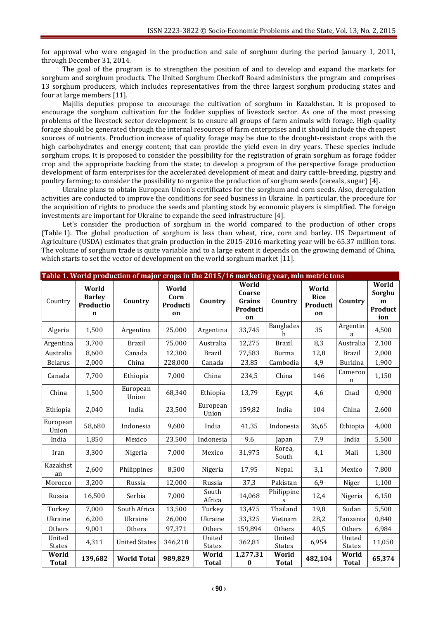for approval who were engaged in the production and sale of sorghum during the period January 1, 2011, through December 31, 2014.

The goal of the program is to strengthen the position of and to develop and expand the markets for sorghum and sorghum products. The United Sorghum Checkoff Board administers the program and comprises 13 sorghum producers, which includes representatives from the three largest sorghum producing states and four at large members [11].

Majilis deputies propose to encourage the cultivation of sorghum in Kazakhstan. It is proposed to encourage the sorghum cultivation for the fodder supplies of livestock sector. As one of the most pressing problems of the livestock sector development is to ensure all groups of farm animals with forage. High-quality forage should be generated through the internal resources of farm enterprises and it should include the cheapest sources of nutrients. Production increase of quality forage may be due to the drought-resistant crops with the high carbohydrates and energy content; that can provide the yield even in dry years. These species include sorghum crops. It is proposed to consider the possibility for the registration of grain sorghum as forage fodder crop and the appropriate backing from the state; to develop a program of the perspective forage production development of farm enterprises for the accelerated development of meat and dairy cattle-breeding, pigstry and poultry farming; to consider the possibility to organize the production of sorghum seeds (cereals, sugar) [4].

Ukraine plans to obtain European Union's certificates for the sorghum and corn seeds. Also, deregulation activities are conducted to improve the conditions for seed business in Ukraine. In particular, the procedure for the acquisition of rights to produce the seeds and planting stock by economic players is simplified. The foreign investments are important for Ukraine to expande the seed infrastructure [4].

Let's consider the production of sorghum in the world compared to the production of other crops (Table 1). The global production of sorghum is less than wheat, rice, corn and barley. US Department of Agriculture (USDA) estimates that grain production in the 2015-2016 marketing year will be 65.37 million tons. The volume of sorghum trade is quite variable and to a large extent it depends on the growing demand of China, which starts to set the vector of development on the world sorghum market [11].

|                         |                                                    | Table 1. World production of major crops in the 2015/16 marketing year, mln metric tons |                                 |                         |                                             |                         |                                        |                       |                                        |
|-------------------------|----------------------------------------------------|-----------------------------------------------------------------------------------------|---------------------------------|-------------------------|---------------------------------------------|-------------------------|----------------------------------------|-----------------------|----------------------------------------|
| Country                 | World<br><b>Barley</b><br>Productio<br>$\mathbf n$ | Country                                                                                 | World<br>Corn<br>Producti<br>on | Country                 | World<br>Coarse<br>Grains<br>Producti<br>on | Country                 | World<br><b>Rice</b><br>Producti<br>on | Country               | World<br>Sorghu<br>m<br>Product<br>ion |
| Algeria                 | 1,500                                              | Argentina                                                                               | 25,000                          | Argentina               | 33,745                                      | <b>Banglades</b><br>h   | 35                                     | Argentin<br>a         | 4,500                                  |
| Argentina               | 3,700                                              | <b>Brazil</b>                                                                           | 75,000                          | Australia               | 12,275                                      | <b>Brazil</b>           | 8,3                                    | Australia             | 2,100                                  |
| Australia               | 8,600                                              | Canada                                                                                  | 12,300                          | <b>Brazil</b>           | 77,583                                      | <b>Burma</b>            | 12,8                                   | <b>Brazil</b>         | 2,000                                  |
| <b>Belarus</b>          | 2,000                                              | China                                                                                   | 228,000                         | Canada                  | 23,85                                       | Cambodia                | 4,9                                    | <b>Burkina</b>        | 1,900                                  |
| Canada                  | 7,700                                              | Ethiopia                                                                                | 7,000                           | China                   | 234,5                                       | China                   | 146                                    | Cameroo<br>n          | 1,150                                  |
| China                   | 1,500                                              | European<br>Union                                                                       | 68,340                          | Ethiopia                | 13,79                                       | Egypt                   | 4,6                                    | Chad                  | 0,900                                  |
| Ethiopia                | 2,040                                              | India                                                                                   | 23,500                          | European<br>Union       | 159,82                                      | India                   | 104                                    | China                 | 2,600                                  |
| European<br>Union       | 58,680                                             | Indonesia                                                                               | 9,600                           | India                   | 41,35                                       | Indonesia               | 36,65                                  | Ethiopia              | 4,000                                  |
| India                   | 1,850                                              | Mexico                                                                                  | 23,500                          | Indonesia               | 9,6                                         | Japan                   | 7,9                                    | India                 | 5,500                                  |
| Iran                    | 3,300                                              | Nigeria                                                                                 | 7,000                           | Mexico                  | 31,975                                      | Korea,<br>South         | 4,1                                    | Mali                  | 1,300                                  |
| Kazakhst<br>an          | 2,600                                              | Philippines                                                                             | 8,500                           | Nigeria                 | 17,95                                       | Nepal                   | 3,1                                    | Mexico                | 7,800                                  |
| Morocco                 | 3,200                                              | Russia                                                                                  | 12,000                          | Russia                  | 37,3                                        | Pakistan                | 6,9                                    | Niger                 | 1,100                                  |
| Russia                  | 16,500                                             | Serbia                                                                                  | 7,000                           | South<br>Africa         | 14,068                                      | Philippine<br>s         | 12,4                                   | Nigeria               | 6,150                                  |
| Turkey                  | 7,000                                              | South Africa                                                                            | 13,500                          | Turkey                  | 13,475                                      | Thailand                | 19,8                                   | Sudan                 | 5,500                                  |
| Ukraine                 | 6,200                                              | Ukraine                                                                                 | 26,000                          | Ukraine                 | 33,325                                      | Vietnam                 | 28,2                                   | Tanzania              | 0,840                                  |
| Others                  | 9,001                                              | Others                                                                                  | 97,371                          | Others                  | 159,894                                     | Others                  | 40,5                                   | Others                | 6,984                                  |
| United<br><b>States</b> | 4,311                                              | <b>United States</b>                                                                    | 346,218                         | United<br><b>States</b> | 362,81                                      | United<br><b>States</b> | 6,954                                  | United<br>States      | 11,050                                 |
| World<br><b>Total</b>   | 139,682                                            | <b>World Total</b>                                                                      | 989,829                         | World<br><b>Total</b>   | 1,277,31<br>$\pmb{0}$                       | World<br><b>Total</b>   | 482,104                                | World<br><b>Total</b> | 65,374                                 |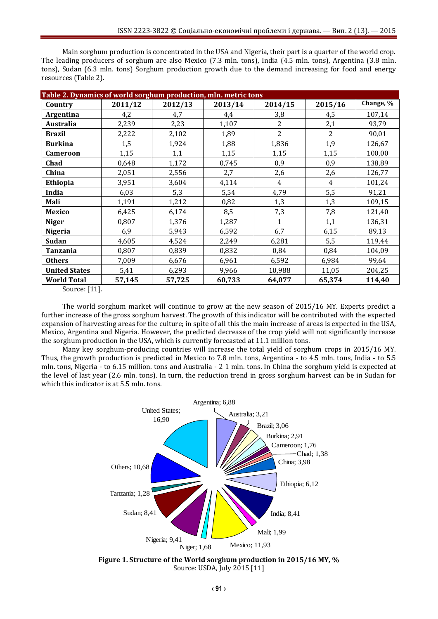Main sorghum production is concentrated in the USA and Nigeria, their part is a quarter of the world crop. The leading producers of sorghum are also Mexico (7.3 mln. tons), India (4.5 mln. tons), Argentina (3.8 mln. tons), Sudan (6.3 mln. tons) Sorghum production growth due to the demand increasing for food and energy resources (Table 2).

| Table 2. Dynamics of world sorghum production, mln. metric tons |         |         |         |                |                |           |  |  |
|-----------------------------------------------------------------|---------|---------|---------|----------------|----------------|-----------|--|--|
| Country                                                         | 2011/12 | 2012/13 | 2013/14 | 2014/15        | 2015/16        | Change, % |  |  |
| Argentina                                                       | 4,2     | 4,7     | 4,4     | 3,8            | 4,5            | 107,14    |  |  |
| <b>Australia</b>                                                | 2,239   | 2,23    | 1,107   | $\overline{2}$ | 2,1            | 93,79     |  |  |
| <b>Brazil</b>                                                   | 2,222   | 2,102   | 1,89    | $\overline{2}$ | $\overline{2}$ | 90,01     |  |  |
| <b>Burkina</b>                                                  | 1,5     | 1,924   | 1,88    | 1,836          | 1,9            | 126,67    |  |  |
| <b>Cameroon</b>                                                 | 1,15    | 1,1     | 1,15    | 1,15           | 1,15           | 100,00    |  |  |
| Chad                                                            | 0,648   | 1,172   | 0,745   | 0,9            | 0,9            | 138,89    |  |  |
| China                                                           | 2,051   | 2,556   | 2,7     | 2,6            | 2,6            | 126,77    |  |  |
| <b>Ethiopia</b>                                                 | 3,951   | 3,604   | 4,114   | 4              | 4              | 101,24    |  |  |
| India                                                           | 6,03    | 5,3     | 5,54    | 4,79           | 5,5            | 91,21     |  |  |
| Mali                                                            | 1,191   | 1,212   | 0,82    | 1,3            | 1,3            | 109,15    |  |  |
| Mexico                                                          | 6,425   | 6,174   | 8,5     | 7,3            | 7,8            | 121,40    |  |  |
| <b>Niger</b>                                                    | 0,807   | 1,376   | 1,287   | 1              | 1,1            | 136,31    |  |  |
| <b>Nigeria</b>                                                  | 6,9     | 5,943   | 6,592   | 6,7            | 6,15           | 89,13     |  |  |
| <b>Sudan</b>                                                    | 4,605   | 4,524   | 2,249   | 6,281          | 5,5            | 119,44    |  |  |
| Tanzania                                                        | 0,807   | 0,839   | 0,832   | 0,84           | 0,84           | 104,09    |  |  |
| <b>Others</b>                                                   | 7,009   | 6,676   | 6,961   | 6,592          | 6,984          | 99,64     |  |  |
| <b>United States</b>                                            | 5,41    | 6,293   | 9,966   | 10,988         | 11,05          | 204,25    |  |  |
| <b>World Total</b>                                              | 57,145  | 57,725  | 60,733  | 64,077         | 65,374         | 114,40    |  |  |

Source: [11].

The world sorghum market will continue to grow at the new season of 2015/16 MY. Experts predict a further increase of the gross sorghum harvest. The growth of this indicator will be contributed with the expected expansion of harvesting areas for the culture; in spite of all this the main increase of areas is expected in the USA, Mexico, Argentina and Nigeria. However, the predicted decrease of the crop yield will not significantly increase the sorghum production in the USA, which is currently forecasted at 11.1 million tons.

Many key sorghum-producing countries will increase the total yield of sorghum crops in 2015/16 MY. Thus, the growth production is predicted in Mexico to 7.8 mln. tons, Argentina - to 4.5 mln. tons, India - to 5.5 mln. tons, Nigeria - to 6.15 million. tons and Australia - 2 1 mln. tons. In China the sorghum yield is expected at the level of last year (2.6 mln. tons). In turn, the reduction trend in gross sorghum harvest can be in Sudan for which this indicator is at 5.5 mln. tons.



**Figure 1. Structure of the World sorghum production in 2015/16 MY, %** Source: USDA, July 2015 [11]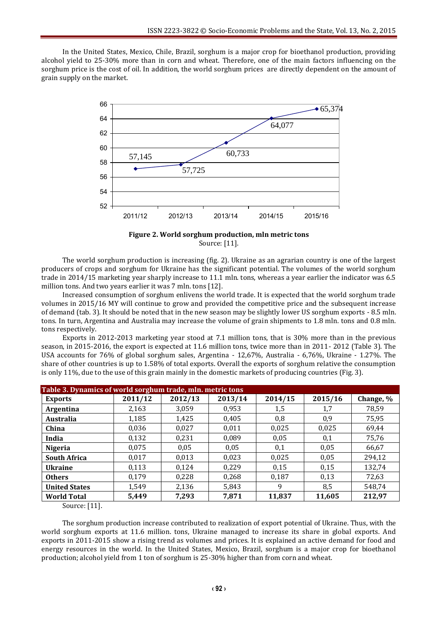In the United States, Mexico, Chile, Brazil, sorghum is a major crop for bioethanol production, providing alcohol yield to 25-30% more than in corn and wheat. Therefore, one of the main factors influencing on the sorghum price is the cost of oil. In addition, the world sorghum prices are directly dependent on the amount of grain supply on the market.



**Figure 2. World sorghum production, mln metric tons** Source: [11].

The world sorghum production is increasing (fig. 2). Ukraine as an agrarian country is one of the largest producers of crops and sorghum for Ukraine has the significant potential. The volumes of the world sorghum trade in 2014/15 marketing year sharply increase to 11.1 mln. tons, whereas a year earlier the indicator was 6.5 million tons. And two years earlier it was 7 mln. tons [12].

Increased consumption of sorghum enlivens the world trade. It is expected that the world sorghum trade volumes in 2015/16 MY will continue to grow and provided the competitive price and the subsequent increase of demand (tab. 3). It should be noted that in the new season may be slightly lower US sorghum exports - 8.5 mln. tons. In turn, Argentina and Australia may increase the volume of grain shipments to 1.8 mln. tons and 0.8 mln. tons respectively.

Exports in 2012-2013 marketing year stood at 7.1 million tons, that is 30% more than in the previous season, in 2015-2016, the export is expected at 11.6 million tons, twice more than in 2011- 2012 (Table 3). The USA accounts for 76% of global sorghum sales, Argentina - 12,67%, Australia - 6,76%, Ukraine - 1.27%. The share of other countries is up to 1.58% of total exports. Overall the exports of sorghum relative the consumption is only 11%, due to the use of this grain mainly in the domestic markets of producing countries (Fig. 3).

| Table 3. Dynamics of world sorghum trade, mln. metric tons |         |         |         |         |         |           |  |
|------------------------------------------------------------|---------|---------|---------|---------|---------|-----------|--|
| <b>Exports</b>                                             | 2011/12 | 2012/13 | 2013/14 | 2014/15 | 2015/16 | Change, % |  |
| Argentina                                                  | 2,163   | 3,059   | 0,953   | 1,5     | 1,7     | 78,59     |  |
| Australia                                                  | 1,185   | 1,425   | 0,405   | 0,8     | 0,9     | 75,95     |  |
| China                                                      | 0,036   | 0,027   | 0,011   | 0,025   | 0,025   | 69,44     |  |
| India                                                      | 0,132   | 0,231   | 0,089   | 0,05    | 0,1     | 75,76     |  |
| <b>Nigeria</b>                                             | 0,075   | 0,05    | 0,05    | 0,1     | 0,05    | 66,67     |  |
| <b>South Africa</b>                                        | 0,017   | 0,013   | 0,023   | 0,025   | 0,05    | 294,12    |  |
| <b>Ukraine</b>                                             | 0,113   | 0,124   | 0,229   | 0,15    | 0,15    | 132,74    |  |
| <b>Others</b>                                              | 0.179   | 0,228   | 0,268   | 0,187   | 0,13    | 72,63     |  |
| <b>United States</b>                                       | 1,549   | 2,136   | 5,843   | 9       | 8,5     | 548,74    |  |
| <b>World Total</b>                                         | 5,449   | 7,293   | 7,871   | 11,837  | 11,605  | 212,97    |  |

Source: [11].

The sorghum production increase contributed to realization of export potential of Ukraine. Thus, with the world sorghum exports at 11.6 million. tons, Ukraine managed to increase its share in global exports. And exports in 2011-2015 show a rising trend as volumes and prices. It is explained an active demand for food and energy resources in the world. In the United States, Mexico, Brazil, sorghum is a major crop for bioethanol production; alcohol yield from 1 ton of sorghum is 25-30% higher than from corn and wheat.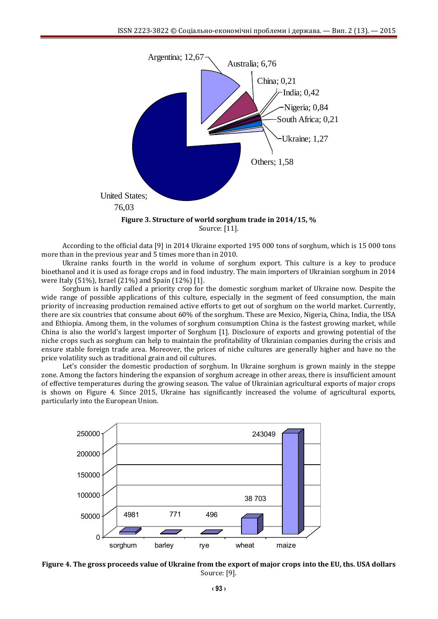

According to the official data [9] in 2014 Ukraine exported 195 000 tons of sorghum, which is 15 000 tons more than in the previous year and 5 times more than in 2010.

Ukraine ranks fourth in the world in volume of sorghum export. This culture is a key to produce bioethanol and it is used as forage crops and in food industry. The main importers of Ukrainian sorghum in 2014 were Italy (51%), Israel (21%) and Spain (12%) [1].

Sorghum is hardly called a priority crop for the domestic sorghum market of Ukraine now. Despite the wide range of possible applications of this culture, especially in the segment of feed consumption, the main priority of increasing production remained active efforts to get out of sorghum on the world market. Currently, there are six countries that consume about 60% of the sorghum. These are Mexico, Nigeria, China, India, the USA and Ethiopia. Among them, in the volumes of sorghum consumption China is the fastest growing market, while China is also the world's largest importer of Sorghum [1]. Disclosure of exports and growing potential of the niche crops such as sorghum can help to maintain the profitability of Ukrainian companies during the crisis and ensure stable foreign trade area. Moreover, the prices of niche cultures are generally higher and have no the price volatility such as traditional grain and oil cultures.

Let's consider the domestic production of sorghum. In Ukraine sorghum is grown mainly in the steppe zone. Among the factors hindering the expansion of sorghum acreage in other areas, there is insufficient amount of effective temperatures during the growing season. The value of Ukrainian agricultural exports of major crops is shown on Figure 4. Since 2015, Ukraine has significantly increased the volume of agricultural exports, particularly into the European Union.



**Figure 4. The gross proceeds value of Ukraine from the export of major crops into the EU, ths. USA dollars** Source: [9].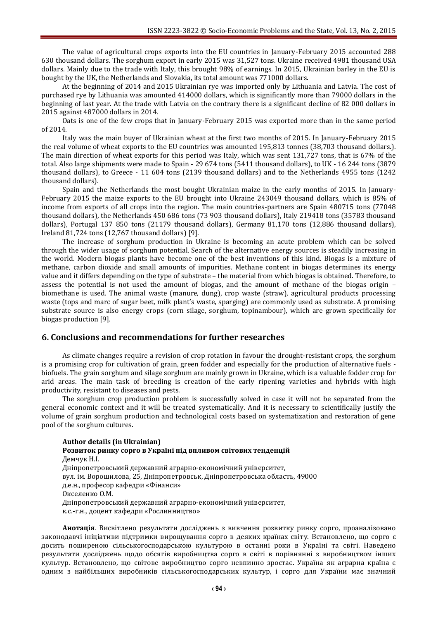The value of agricultural crops exports into the EU countries in January-February 2015 accounted 288 630 thousand dollars. The sorghum export in early 2015 was 31,527 tons. Ukraine received 4981 thousand USA dollars. Mainly due to the trade with Italy, this brought 98% of earnings. In 2015, Ukrainian barley in the EU is bought by the UK, the Netherlands and Slovakia, its total amount was 771000 dollars.

At the beginning of 2014 and 2015 Ukrainian rye was imported only by Lithuania and Latvia. The cost of purchased rye by Lithuania was amounted 414000 dollars, which is significantly more than 79000 dollars in the beginning of last year. At the trade with Latvia on the contrary there is a significant decline of 82 000 dollars in 2015 against 487000 dollars in 2014.

Oats is one of the few crops that in January-February 2015 was exported more than in the same period of 2014.

Italy was the main buyer of Ukrainian wheat at the first two months of 2015. In January-February 2015 the real volume of wheat exports to the EU countries was amounted 195,813 tonnes (38,703 thousand dollars.). The main direction of wheat exports for this period was Italy, which was sent 131,727 tons, that is 67% of the total. Also large shipments were made to Spain - 29 674 tons (5411 thousand dollars), to UK - 16 244 tons (3879 thousand dollars), to Greece - 11 604 tons (2139 thousand dollars) and to the Netherlands 4955 tons (1242 thousand dollars).

Spain and the Netherlands the most bought Ukrainian maize in the early months of 2015. In January-February 2015 the maize exports to the EU brought into Ukraine 243049 thousand dollars, which is 85% of income from exports of all crops into the region. The main countries-partners are Spain 480715 tons (77048 thousand dollars), the Netherlands 450 686 tons (73 903 thousand dollars), Italy 219418 tons (35783 thousand dollars), Portugal 137 850 tons (21179 thousand dollars), Germany 81,170 tons (12,886 thousand dollars), Ireland 81,724 tons (12,767 thousand dollars) [9].

The increase of sorghum production in Ukraine is becoming an acute problem which can be solved through the wider usage of sorghum potential. Search of the alternative energy sources is steadily increasing in the world. Modern biogas plants have become one of the best inventions of this kind. Biogas is a mixture of methane, carbon dioxide and small amounts of impurities. Methane content in biogas determines its energy value and it differs depending on the type of substrate – the material from which biogas is obtained. Therefore, to assess the potential is not used the amount of biogas, and the amount of methane of the biogas origin – biomethane is used. The animal waste (manure, dung), crop waste (straw), agricultural products processing waste (tops and marc of sugar beet, milk plant's waste, sparging) are commonly used as substrate. A promising substrate source is also energy crops (corn silage, sorghum, topinambour), which are grown specifically for biogas production [9].

# **6. Conclusions and recommendations for further researches**

As climate changes require a revision of crop rotation in favour the drought-resistant crops, the sorghum is a promising crop for cultivation of grain, green fodder and especially for the production of alternative fuels biofuels. The grain sorghum and silage sorghum are mainly grown in Ukraine, which is a valuable fodder crop for arid areas. The main task of breeding is creation of the early ripening varieties and hybrids with high productivity, resistant to diseases and pests.

The sorghum crop production problem is successfully solved in case it will not be separated from the general economic context and it will be treated systematically. And it is necessary to scientifically justify the volume of grain sorghum production and technological costs based on systematization and restoration of gene pool of the sorghum cultures.

## **Author details (in Ukrainian) Розвиток ринку сорго в Україні під впливом світових тенденцій** Демчук Н.І. Дніпропетровський державний аграрно-економічний університет, вул. ім. Ворошилова, 25, Дніпропетровськ, Дніпропетровська область, 49000 д.е.н., професор кафедри «Фінанси» Окселенко О.М. Дніпропетровський державний аграрно-економічний університет, к.с.-г.н., доцент кафедри «Рослинництво»

**Анотація**. Висвітлено результати досліджень з вивчення розвитку ринку сорго, проаналізовано законодавчі ініціативи підтримки вирощування сорго в деяких країнах світу. Встановлено, що сорго є досить поширеною сільськогосподарською культурою в останні роки в Україні та світі. Наведено результати досліджень щодо обсягів виробництва сорго в світі в порівнянні з виробництвом інших культур. Встановлено, що світове виробництво сорго невпинно зростає. Україна як аграрна країна є одним з найбільших виробників сільськогосподарських культур, і сорго для України має значний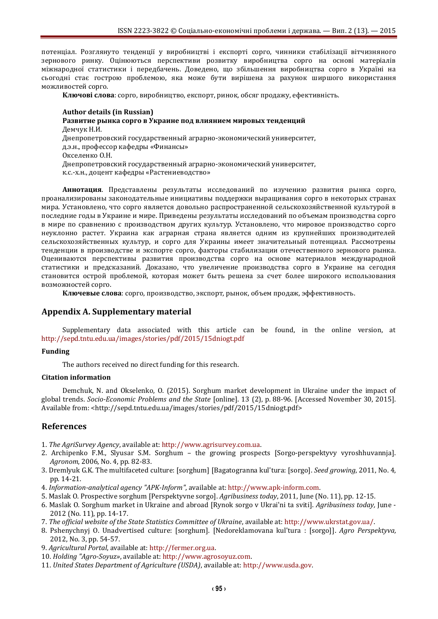потенціал. Розглянуто тенденції у виробництві і експорті сорго, чинники стабілізації вітчизняного зернового ринку. Оцінюються перспективи розвитку виробництва сорго на основі матеріалів міжнародної статистики і передбачень. Доведено, що збільшення виробництва сорго в Україні на сьогодні стає гострою проблемою, яка може бути вирішена за рахунок ширшого використання можливостей сорго.

**Ключові слова**: сорго, виробництво, експорт, ринок, обсяг продажу, ефективність.

#### **Author details (in Russian)**

**Развитие рынка сорго в Украине под влиянием мировых тенденций** Демчук Н.И. Днепропетровский государственный аграрно-экономический университет, д.э.н., профессор кафедры «Финансы» Окселенко О.Н. Днепропетровский государственный аграрно-экономический университет, к.с.-х.н., доцент кафедры «Растениеводство»

**Аннотация**. Представлены результаты исследований по изучению развития рынка сорго, проанализированы законодательные инициативы поддержки выращивания сорго в некоторых странах мира. Установлено, что сорго является довольно распространенной сельскохозяйственной культурой в последние годы в Украине и мире. Приведены результаты исследований по объемам производства сорго в мире по сравнению с производством других культур. Установлено, что мировое производство сорго неуклонно растет. Украина как аграрная страна является одним из крупнейших производителей сельскохозяйственных культур, и сорго для Украины имеет значительный потенциал. Рассмотрены тенденции в производстве и экспорте сорго, факторы стабилизации отечественного зернового рынка. Оцениваются перспективы развития производства сорго на основе материалов международной статистики и предсказаний. Доказано, что увеличение производства сорго в Украине на сегодня становится острой проблемой, которая может быть решена за счет более широкого использования возможностей сорго.

**Ключевые слова**: сорго, производство, экспорт, рынок, объем продаж, эффективность.

## **Appendix A. Supplementary material**

Supplementary data associated with this article can be found, in the online version, at <http://sepd.tntu.edu.ua/images/stories/pdf/2015/15dniogt.pdf>

#### **Funding**

The authors received no direct funding for this research.

#### **Citation information**

Demchuk, N. and Okselenko, O. (2015). Sorghum market development in Ukraine under the impact of global trends. *Socio-Economic Problems and the State* [online]. 13 (2), p. 88-96. [Accessed November 30, 2015]. Available from: <http://sepd.tntu.edu.ua/images/stories/pdf/2015/15dniogt.pdf>

## **References**

- 1. *The AgriSurvey Agency*, available at: [http://www.agrisurvey.com.ua.](http://www.agrisurvey.com.ua/)
- 2. Archipenko F.M., Slyusar S.M. Sorghum the growing prospects [Sorgo-perspektyvy vyroshhuvannja]. *Agronom*, 2006, No. 4, pp. 82-83.
- 3. Dremlyuk G.K. The multifaceted culture: [sorghum] [Bagatogranna kul'tura: [sorgo]. *Seed growing*, 2011, No. 4, pp. 14-21.
- 4. *Information-analytical agency "APK-Inform"*, available at[: http://www.apk-inform.com.](http://www.apk-inform.com/)
- 5. Maslak O. Prospective sorghum [Perspektyvne sorgo]. *Agribusiness today*, 2011, June (No. 11), pp. 12-15.
- 6. Maslak O. Sorghum market in Ukraine and abroad [Rynok sorgo v Ukrai'ni ta sviti]. *Agribusiness today,* June 2012 (No. 11), pp. 14-17.
- 7. *The official website of the State Statistics Committee of Ukraine*, available at: [http://www.ukrstat.gov.ua/.](http://www.ukrstat.gov.ua/)
- 8. Pshenychnyj O. Unadvertised culture: [sorghum]. [Nedoreklamovana kul'tura : [sorgo]]. *Agro Perspektyva,* 2012, No. 3, pp. 54-57.
- 9. *Agricultural Portal*, available at[: http://fermer.org.ua.](http://fermer.org.ua/)
- 10. *Holding "Agro-Soyuz»*, available at: [http://www.agrosoyuz.com.](http://www.agrosoyuz.com/)
- 11. *United States Department of Agriculture (USDA)*, available at: [http://www.usda.gov.](http://www.usda.gov/)